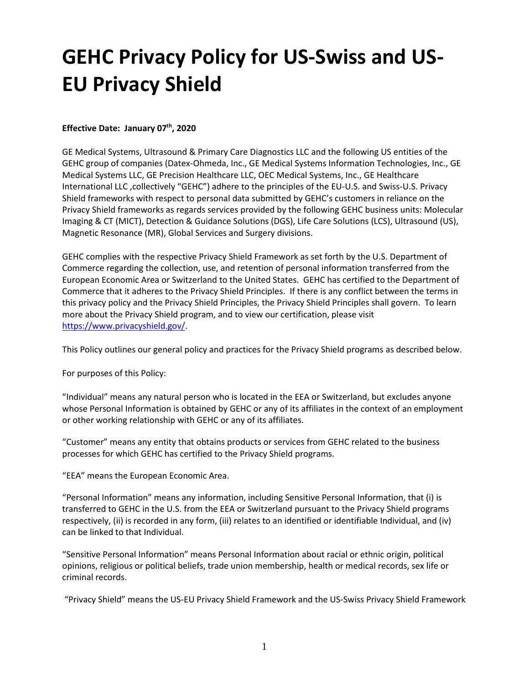# **GEHC Privacy Policy for US-Swiss and US-EU Privacy Shield**

# **Effective Date: January 07th, 2020**

GE Medical Systems, Ultrasound & Primary Care Diagnostics LLC and the following US entities of the GEHC group of companies (Datex-Ohmeda, Inc., GE Medical Systems Information Technologies, Inc., GE Medical Systems LLC, GE Precision Healthcare LLC, OEC Medical Systems, Inc., GE Healthcare International LLC ,collectively "GEHC") adhere to the principles of the EU-U.S. and Swiss-U.S. Privacy Shield frameworks with respect to personal data submitted by GEHC's customers in reliance on the Privacy Shield frameworks as regards services provided by the following GEHC business units: Molecular Imaging & CT (MICT), Detection & Guidance Solutions (DGS), Life Care Solutions (LCS), Ultrasound (US), Magnetic Resonance (MR), Global Services and Surgery divisions.

GEHC complies with the respective Privacy Shield Framework as set forth by the U.S. Department of Commerce regarding the collection, use, and retention of personal information transferred from the European Economic Area or Switzerland to the United States. GEHC has certified to the Department of Commerce that it adheres to the Privacy Shield Principles. If there is any conflict between the terms in this privacy policy and the Privacy Shield Principles, the Privacy Shield Principles shall govern. To learn more about the Privacy Shield program, and to view our certification, please visit [https://www.privacyshield.gov/.](https://www.privacyshield.gov/)

This Policy outlines our general policy and practices for the Privacy Shield programs as described below.

For purposes of this Policy:

"Individual" means any natural person who is located in the EEA or Switzerland, but excludes anyone whose Personal Information is obtained by GEHC or any of its affiliates in the context of an employment or other working relationship with GEHC or any of its affiliates.

"Customer" means any entity that obtains products or services from GEHC related to the business processes for which GEHC has certified to the Privacy Shield programs.

"EEA" means the European Economic Area.

"Personal Information" means any information, including Sensitive Personal Information, that (i) is transferred to GEHC in the U.S. from the EEA or Switzerland pursuant to the Privacy Shield programs respectively, (ii) is recorded in any form, (iii) relates to an identified or identifiable Individual, and (iv) can be linked to that Individual.

"Sensitive Personal Information" means Personal Information about racial or ethnic origin, political opinions, religious or political beliefs, trade union membership, health or medical records, sex life or criminal records.

"Privacy Shield" means the US-EU Privacy Shield Framework and the US-Swiss Privacy Shield Framework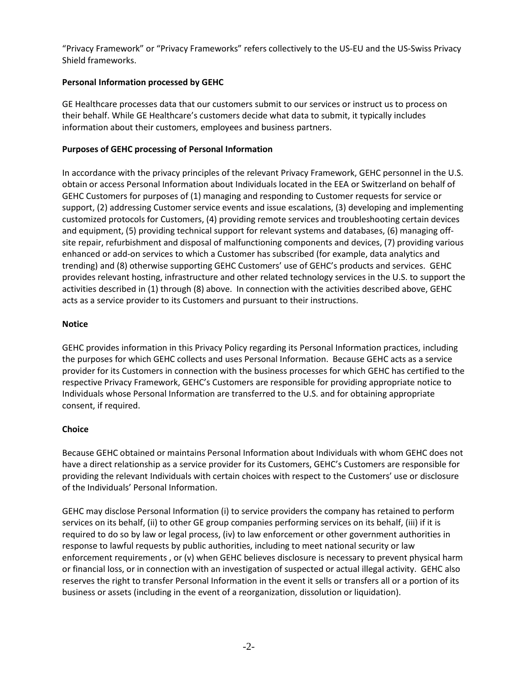"Privacy Framework" or "Privacy Frameworks" refers collectively to the US-EU and the US-Swiss Privacy Shield frameworks.

# **Personal Information processed by GEHC**

GE Healthcare processes data that our customers submit to our services or instruct us to process on their behalf. While GE Healthcare's customers decide what data to submit, it typically includes information about their customers, employees and business partners.

# **Purposes of GEHC processing of Personal Information**

In accordance with the privacy principles of the relevant Privacy Framework, GEHC personnel in the U.S. obtain or access Personal Information about Individuals located in the EEA or Switzerland on behalf of GEHC Customers for purposes of (1) managing and responding to Customer requests for service or support, (2) addressing Customer service events and issue escalations, (3) developing and implementing customized protocols for Customers, (4) providing remote services and troubleshooting certain devices and equipment, (5) providing technical support for relevant systems and databases, (6) managing offsite repair, refurbishment and disposal of malfunctioning components and devices, (7) providing various enhanced or add-on services to which a Customer has subscribed (for example, data analytics and trending) and (8) otherwise supporting GEHC Customers' use of GEHC's products and services. GEHC provides relevant hosting, infrastructure and other related technology services in the U.S. to support the activities described in (1) through (8) above. In connection with the activities described above, GEHC acts as a service provider to its Customers and pursuant to their instructions.

# **Notice**

GEHC provides information in this Privacy Policy regarding its Personal Information practices, including the purposes for which GEHC collects and uses Personal Information. Because GEHC acts as a service provider for its Customers in connection with the business processes for which GEHC has certified to the respective Privacy Framework, GEHC's Customers are responsible for providing appropriate notice to Individuals whose Personal Information are transferred to the U.S. and for obtaining appropriate consent, if required.

# **Choice**

Because GEHC obtained or maintains Personal Information about Individuals with whom GEHC does not have a direct relationship as a service provider for its Customers, GEHC's Customers are responsible for providing the relevant Individuals with certain choices with respect to the Customers' use or disclosure of the Individuals' Personal Information.

GEHC may disclose Personal Information (i) to service providers the company has retained to perform services on its behalf, (ii) to other GE group companies performing services on its behalf, (iii) if it is required to do so by law or legal process, (iv) to law enforcement or other government authorities in response to lawful requests by public authorities, including to meet national security or law enforcement requirements , or (v) when GEHC believes disclosure is necessary to prevent physical harm or financial loss, or in connection with an investigation of suspected or actual illegal activity. GEHC also reserves the right to transfer Personal Information in the event it sells or transfers all or a portion of its business or assets (including in the event of a reorganization, dissolution or liquidation).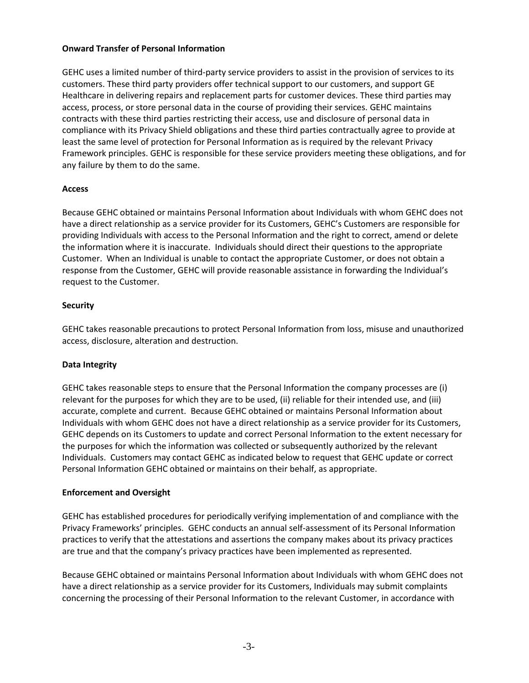#### **Onward Transfer of Personal Information**

GEHC uses a limited number of third-party service providers to assist in the provision of services to its customers. These third party providers offer technical support to our customers, and support GE Healthcare in delivering repairs and replacement parts for customer devices. These third parties may access, process, or store personal data in the course of providing their services. GEHC maintains contracts with these third parties restricting their access, use and disclosure of personal data in compliance with its Privacy Shield obligations and these third parties contractually agree to provide at least the same level of protection for Personal Information as is required by the relevant Privacy Framework principles. GEHC is responsible for these service providers meeting these obligations, and for any failure by them to do the same.

# **Access**

Because GEHC obtained or maintains Personal Information about Individuals with whom GEHC does not have a direct relationship as a service provider for its Customers, GEHC's Customers are responsible for providing Individuals with access to the Personal Information and the right to correct, amend or delete the information where it is inaccurate. Individuals should direct their questions to the appropriate Customer. When an Individual is unable to contact the appropriate Customer, or does not obtain a response from the Customer, GEHC will provide reasonable assistance in forwarding the Individual's request to the Customer.

# **Security**

GEHC takes reasonable precautions to protect Personal Information from loss, misuse and unauthorized access, disclosure, alteration and destruction.

# **Data Integrity**

GEHC takes reasonable steps to ensure that the Personal Information the company processes are (i) relevant for the purposes for which they are to be used, (ii) reliable for their intended use, and (iii) accurate, complete and current. Because GEHC obtained or maintains Personal Information about Individuals with whom GEHC does not have a direct relationship as a service provider for its Customers, GEHC depends on its Customers to update and correct Personal Information to the extent necessary for the purposes for which the information was collected or subsequently authorized by the relevant Individuals. Customers may contact GEHC as indicated below to request that GEHC update or correct Personal Information GEHC obtained or maintains on their behalf, as appropriate.

# **Enforcement and Oversight**

GEHC has established procedures for periodically verifying implementation of and compliance with the Privacy Frameworks' principles. GEHC conducts an annual self-assessment of its Personal Information practices to verify that the attestations and assertions the company makes about its privacy practices are true and that the company's privacy practices have been implemented as represented.

Because GEHC obtained or maintains Personal Information about Individuals with whom GEHC does not have a direct relationship as a service provider for its Customers, Individuals may submit complaints concerning the processing of their Personal Information to the relevant Customer, in accordance with